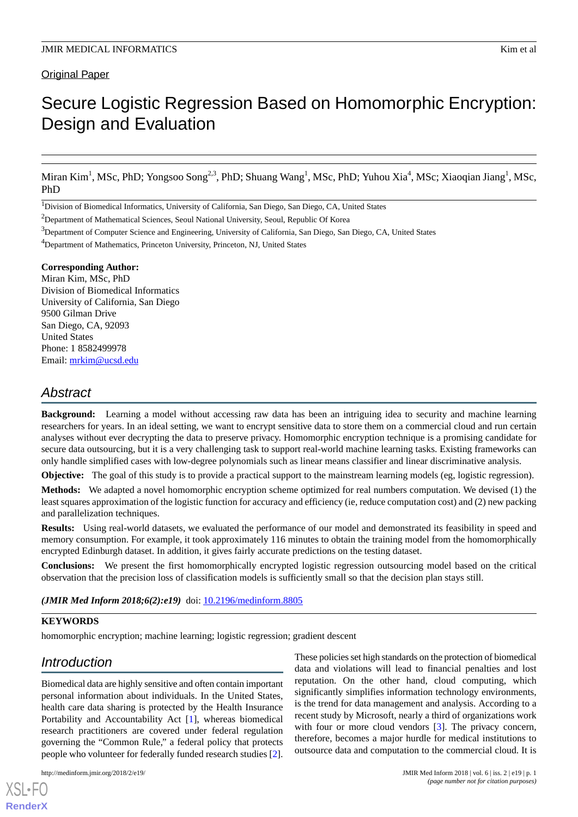# Secure Logistic Regression Based on Homomorphic Encryption: Design and Evaluation

Miran Kim<sup>1</sup>, MSc, PhD; Yongsoo Song<sup>2,3</sup>, PhD; Shuang Wang<sup>1</sup>, MSc, PhD; Yuhou Xia<sup>4</sup>, MSc; Xiaoqian Jiang<sup>1</sup>, MSc, PhD

<sup>1</sup>Division of Biomedical Informatics, University of California, San Diego, San Diego, CA, United States

 $2$ Department of Mathematical Sciences, Seoul National University, Seoul, Republic Of Korea

<sup>4</sup>Department of Mathematics, Princeton University, Princeton, NJ, United States

#### **Corresponding Author:**

Miran Kim, MSc, PhD Division of Biomedical Informatics University of California, San Diego 9500 Gilman Drive San Diego, CA, 92093 United States Phone: 1 8582499978 Email: [mrkim@ucsd.edu](mailto:mrkim@ucsd.edu)

# *Abstract*

**Background:** Learning a model without accessing raw data has been an intriguing idea to security and machine learning researchers for years. In an ideal setting, we want to encrypt sensitive data to store them on a commercial cloud and run certain analyses without ever decrypting the data to preserve privacy. Homomorphic encryption technique is a promising candidate for secure data outsourcing, but it is a very challenging task to support real-world machine learning tasks. Existing frameworks can only handle simplified cases with low-degree polynomials such as linear means classifier and linear discriminative analysis.

**Objective:** The goal of this study is to provide a practical support to the mainstream learning models (eg, logistic regression).

**Methods:** We adapted a novel homomorphic encryption scheme optimized for real numbers computation. We devised (1) the least squares approximation of the logistic function for accuracy and efficiency (ie, reduce computation cost) and (2) new packing and parallelization techniques.

**Results:** Using real-world datasets, we evaluated the performance of our model and demonstrated its feasibility in speed and memory consumption. For example, it took approximately 116 minutes to obtain the training model from the homomorphically encrypted Edinburgh dataset. In addition, it gives fairly accurate predictions on the testing dataset.

**Conclusions:** We present the first homomorphically encrypted logistic regression outsourcing model based on the critical observation that the precision loss of classification models is sufficiently small so that the decision plan stays still.

*(JMIR Med Inform 2018;6(2):e19)* doi: [10.2196/medinform.8805](http://dx.doi.org/10.2196/medinform.8805)

# **KEYWORDS**

homomorphic encryption; machine learning; logistic regression; gradient descent

# *Introduction*

Biomedical data are highly sensitive and often contain important personal information about individuals. In the United States, health care data sharing is protected by the Health Insurance Portability and Accountability Act [\[1\]](#page-9-0), whereas biomedical research practitioners are covered under federal regulation governing the "Common Rule," a federal policy that protects people who volunteer for federally funded research studies [[2\]](#page-9-1).

[XSL](http://www.w3.org/Style/XSL)•FO **[RenderX](http://www.renderx.com/)**

These policies set high standards on the protection of biomedical data and violations will lead to financial penalties and lost reputation. On the other hand, cloud computing, which significantly simplifies information technology environments, is the trend for data management and analysis. According to a recent study by Microsoft, nearly a third of organizations work with four or more cloud vendors [[3\]](#page-9-2). The privacy concern, therefore, becomes a major hurdle for medical institutions to outsource data and computation to the commercial cloud. It is

<sup>&</sup>lt;sup>3</sup>Department of Computer Science and Engineering, University of California, San Diego, San Diego, CA, United States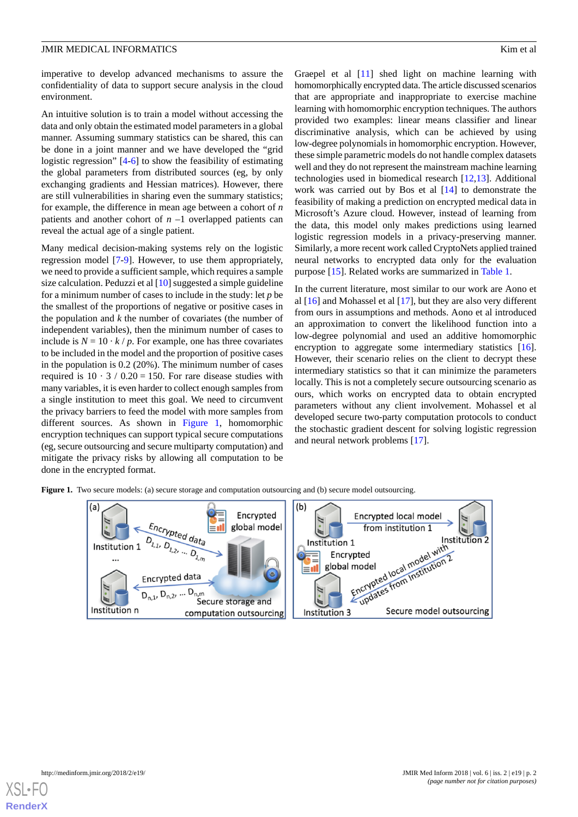imperative to develop advanced mechanisms to assure the confidentiality of data to support secure analysis in the cloud environment.

An intuitive solution is to train a model without accessing the data and only obtain the estimated model parameters in a global manner. Assuming summary statistics can be shared, this can be done in a joint manner and we have developed the "grid logistic regression" [\[4-](#page-9-3)[6\]](#page-9-4) to show the feasibility of estimating the global parameters from distributed sources (eg, by only exchanging gradients and Hessian matrices). However, there are still vulnerabilities in sharing even the summary statistics; for example, the difference in mean age between a cohort of *n* patients and another cohort of *n* –1 overlapped patients can reveal the actual age of a single patient.

Many medical decision-making systems rely on the logistic regression model [\[7](#page-9-5)-[9\]](#page-10-0). However, to use them appropriately, we need to provide a sufficient sample, which requires a sample size calculation. Peduzzi et al [\[10](#page-10-1)] suggested a simple guideline for a minimum number of cases to include in the study: let *p* be the smallest of the proportions of negative or positive cases in the population and *k* the number of covariates (the number of independent variables), then the minimum number of cases to include is  $N = 10 \cdot k / p$ . For example, one has three covariates to be included in the model and the proportion of positive cases in the population is 0.2 (20%). The minimum number of cases required is  $10 \cdot 3 / 0.20 = 150$ . For rare disease studies with many variables, it is even harder to collect enough samples from a single institution to meet this goal. We need to circumvent the privacy barriers to feed the model with more samples from different sources. As shown in [Figure 1](#page-1-0), homomorphic encryption techniques can support typical secure computations (eg, secure outsourcing and secure multiparty computation) and mitigate the privacy risks by allowing all computation to be done in the encrypted format.

Graepel et al [[11\]](#page-10-2) shed light on machine learning with homomorphically encrypted data. The article discussed scenarios that are appropriate and inappropriate to exercise machine learning with homomorphic encryption techniques. The authors provided two examples: linear means classifier and linear discriminative analysis, which can be achieved by using low-degree polynomials in homomorphic encryption. However, these simple parametric models do not handle complex datasets well and they do not represent the mainstream machine learning technologies used in biomedical research [\[12](#page-10-3),[13\]](#page-10-4). Additional work was carried out by Bos et al [[14\]](#page-10-5) to demonstrate the feasibility of making a prediction on encrypted medical data in Microsoft's Azure cloud. However, instead of learning from the data, this model only makes predictions using learned logistic regression models in a privacy-preserving manner. Similarly, a more recent work called CryptoNets applied trained neural networks to encrypted data only for the evaluation purpose [\[15](#page-10-6)]. Related works are summarized in [Table 1](#page-2-0).

In the current literature, most similar to our work are Aono et al [[16\]](#page-10-7) and Mohassel et al [[17\]](#page-10-8), but they are also very different from ours in assumptions and methods. Aono et al introduced an approximation to convert the likelihood function into a low-degree polynomial and used an additive homomorphic encryption to aggregate some intermediary statistics [[16\]](#page-10-7). However, their scenario relies on the client to decrypt these intermediary statistics so that it can minimize the parameters locally. This is not a completely secure outsourcing scenario as ours, which works on encrypted data to obtain encrypted parameters without any client involvement. Mohassel et al developed secure two-party computation protocols to conduct the stochastic gradient descent for solving logistic regression and neural network problems [\[17](#page-10-8)].

<span id="page-1-0"></span>**Figure 1.** Two secure models: (a) secure storage and computation outsourcing and (b) secure model outsourcing.



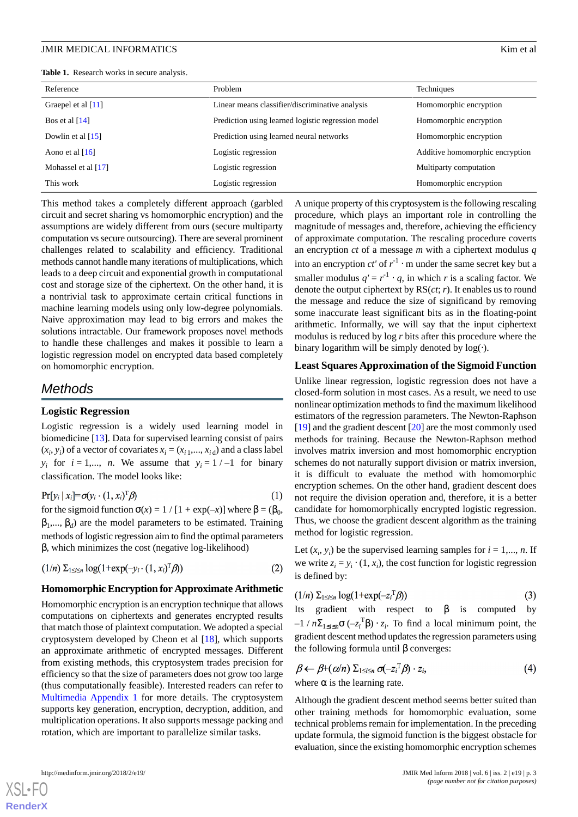<span id="page-2-0"></span>

| Reference            | Problem                                            | Techniques                      |  |
|----------------------|----------------------------------------------------|---------------------------------|--|
| Graepel et al $[11]$ | Linear means classifier/discriminative analysis    | Homomorphic encryption          |  |
| Bos et al $[14]$     | Prediction using learned logistic regression model | Homomorphic encryption          |  |
| Dowlin et al $[15]$  | Prediction using learned neural networks           | Homomorphic encryption          |  |
| Aono et al $[16]$    | Logistic regression                                | Additive homomorphic encryption |  |
| Mohassel et al [17]  | Logistic regression                                | Multiparty computation          |  |
| This work            | Logistic regression                                | Homomorphic encryption          |  |

This method takes a completely different approach (garbled circuit and secret sharing vs homomorphic encryption) and the assumptions are widely different from ours (secure multiparty computation vs secure outsourcing). There are several prominent challenges related to scalability and efficiency. Traditional methods cannot handle many iterations of multiplications, which leads to a deep circuit and exponential growth in computational cost and storage size of the ciphertext. On the other hand, it is a nontrivial task to approximate certain critical functions in machine learning models using only low-degree polynomials. Naive approximation may lead to big errors and makes the solutions intractable. Our framework proposes novel methods to handle these challenges and makes it possible to learn a logistic regression model on encrypted data based completely on homomorphic encryption.

# *Methods*

#### **Logistic Regression**

Logistic regression is a widely used learning model in biomedicine [[13\]](#page-10-4). Data for supervised learning consist of pairs  $(x_i, y_i)$  of a vector of covariates  $x_i = (x_{i,1},..., x_{i,d})$  and a class label *y<sub>i</sub>* for  $i = 1,..., n$ . We assume that  $y_i = 1/-1$  for binary classification. The model looks like:

$$
Pr[y_i | x_i] = \sigma(y_i \cdot (1, x_i)^T \beta)
$$
 (1)

for the sigmoid function  $\sigma(x) = 1 / [1 + \exp(-x)]$  where  $\beta = (\beta_0,$  $\beta_1, ..., \beta_d$ ) are the model parameters to be estimated. Training methods of logistic regression aim to find the optimal parameters β, which minimizes the cost (negative log-likelihood)

$$
(1/n) \sum_{1 \leq i \leq n} \log(1 + \exp(-y_i \cdot (1, x_i)^T \beta)) \tag{2}
$$

#### **Homomorphic Encryption for Approximate Arithmetic**

Homomorphic encryption is an encryption technique that allows computations on ciphertexts and generates encrypted results that match those of plaintext computation. We adopted a special cryptosystem developed by Cheon et al [[18\]](#page-10-9), which supports an approximate arithmetic of encrypted messages. Different from existing methods, this cryptosystem trades precision for efficiency so that the size of parameters does not grow too large (thus computationally feasible). Interested readers can refer to [Multimedia Appendix 1](#page-9-6) for more details. The cryptosystem supports key generation, encryption, decryption, addition, and multiplication operations. It also supports message packing and rotation, which are important to parallelize similar tasks.

A unique property of this cryptosystem is the following rescaling procedure, which plays an important role in controlling the magnitude of messages and, therefore, achieving the efficiency of approximate computation. The rescaling procedure coverts an encryption *ct* of a message *m* with a ciphertext modulus *q* into an encryption  $ct'$  of  $r^{-1}$  · m under the same secret key but a smaller modulus  $q' = r^{-1} \cdot q$ , in which *r* is a scaling factor. We denote the output ciphertext by RS(*ct*; *r*). It enables us to round the message and reduce the size of significand by removing some inaccurate least significant bits as in the floating-point arithmetic. Informally, we will say that the input ciphertext modulus is reduced by log *r* bits after this procedure where the binary logarithm will be simply denoted by  $log(·)$ .

# **Least Squares Approximation of the Sigmoid Function**

Unlike linear regression, logistic regression does not have a closed-form solution in most cases. As a result, we need to use nonlinear optimization methods to find the maximum likelihood estimators of the regression parameters. The Newton-Raphson [[19\]](#page-10-10) and the gradient descent [[20\]](#page-10-11) are the most commonly used methods for training. Because the Newton-Raphson method involves matrix inversion and most homomorphic encryption schemes do not naturally support division or matrix inversion, it is difficult to evaluate the method with homomorphic encryption schemes. On the other hand, gradient descent does not require the division operation and, therefore, it is a better candidate for homomorphically encrypted logistic regression. Thus, we choose the gradient descent algorithm as the training method for logistic regression.

Let  $(x_i, y_i)$  be the supervised learning samples for  $i = 1, ..., n$ . If we write  $z_i = y_i \cdot (1, x_i)$ , the cost function for logistic regression is defined by:

$$
(1/n) \sum_{1 \leq i \leq n} \log(1 + \exp(-z_i^T \beta)) \tag{3}
$$

Its gradient with respect to  $\beta$  is computed by  $-1/n\Sigma_{1\leq i\leq n}\sigma(-z_i^T\beta)\cdot z_i$ . To find a local minimum point, the gradient descent method updates the regression parameters using the following formula until  $β$  converges:

$$
\beta \leftarrow \beta + (\alpha/n) \sum_{1 \le i \le n} \sigma(-z_i^T \beta) \cdot z_i,
$$
\n(4)

where  $\alpha$  is the learning rate.

Although the gradient descent method seems better suited than other training methods for homomorphic evaluation, some technical problems remain for implementation. In the preceding update formula, the sigmoid function is the biggest obstacle for evaluation, since the existing homomorphic encryption schemes

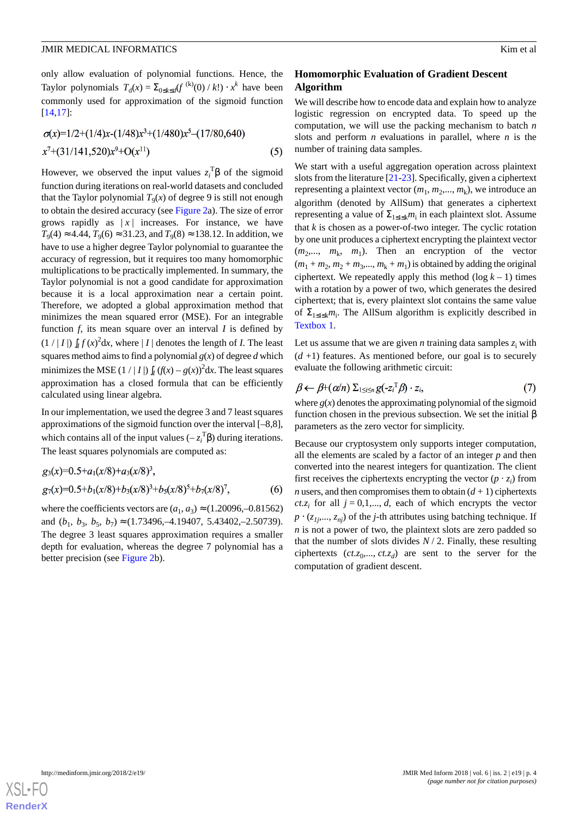only allow evaluation of polynomial functions. Hence, the Taylor polynomials  $T_d(x) = \sum_{0 \le k \le d} (f^{(k)}(0) / k!) \cdot x^k$  have been commonly used for approximation of the sigmoid function [[14](#page-10-5)[,17](#page-10-8)]:

$$
\sigma(x)=1/2+(1/4)x-(1/48)x^3+(1/480)x^5-(17/80,640)
$$
  

$$
x^7+(31/141,520)x^9+O(x^{11})
$$
 (5)

However, we observed the input values  $z_i^T$  $\beta$  of the sigmoid function during iterations on real-world datasets and concluded that the Taylor polynomial  $T_9(x)$  of degree 9 is still not enough to obtain the desired accuracy (see [Figure 2a](#page-4-0)). The size of error grows rapidly as  $|x|$  increases. For instance, we have  $T_9(4) \approx 4.44$ ,  $T_9(6) \approx 31.23$ , and  $T_9(8) \approx 138.12$ . In addition, we have to use a higher degree Taylor polynomial to guarantee the accuracy of regression, but it requires too many homomorphic multiplications to be practically implemented. In summary, the Taylor polynomial is not a good candidate for approximation because it is a local approximation near a certain point. Therefore, we adopted a global approximation method that minimizes the mean squared error (MSE). For an integrable function *f*, its mean square over an interval *I* is defined by  $(1 / |I|) \int_I f(x)^2 dx$ , where  $|I|$  denotes the length of *I*. The least squares method aims to find a polynomial  $g(x)$  of degree  $d$  which minimizes the MSE  $(1 / | I |)$   $\int_I (f(x) - g(x))^2 dx$ . The least squares approximation has a closed formula that can be efficiently calculated using linear algebra.

In our implementation, we used the degree 3 and 7 least squares approximations of the sigmoid function over the interval [–8,8], which contains all of the input values  $(-z_i^T \beta)$  during iterations. The least squares polynomials are computed as:

$$
g_3(x)=0.5+a_1(x/8)+a_3(x/8)^3
$$
,  
\n $g_7(x)=0.5+b_1(x/8)+b_3(x/8)^3+b_5(x/8)^5+b_7(x/8)^7$ , (6)

where the coefficients vectors are  $(a_1, a_3) \approx (1.20096, -0.81562)$ and  $(b_1, b_3, b_5, b_7) \approx (1.73496, -4.19407, 5.43402, -2.50739)$ . The degree 3 least squares approximation requires a smaller depth for evaluation, whereas the degree 7 polynomial has a better precision (see [Figure 2](#page-4-0)b).

# **Homomorphic Evaluation of Gradient Descent Algorithm**

We will describe how to encode data and explain how to analyze logistic regression on encrypted data. To speed up the computation, we will use the packing mechanism to batch *n* slots and perform *n* evaluations in parallel, where *n* is the number of training data samples.

We start with a useful aggregation operation across plaintext slots from the literature [[21-](#page-10-12)[23\]](#page-10-13). Specifically, given a ciphertext representing a plaintext vector  $(m_1, m_2, ..., m_k)$ , we introduce an algorithm (denoted by AllSum) that generates a ciphertext representing a value of  $\Sigma_{1 \le i \le k} m_i$  in each plaintext slot. Assume that  $k$  is chosen as a power-of-two integer. The cyclic rotation by one unit produces a ciphertext encrypting the plaintext vector  $(m_2,..., m_k, m_1)$ . Then an encryption of the vector  $(m_1 + m_2, m_2 + m_3, \dots, m_k + m_1)$  is obtained by adding the original ciphertext. We repeatedly apply this method  $(\log k - 1)$  times with a rotation by a power of two, which generates the desired ciphertext; that is, every plaintext slot contains the same value of  $\Sigma_{1\leq i\leq k}m_i$ . The AllSum algorithm is explicitly described in [Textbox 1.](#page-4-1)

Let us assume that we are given *n* training data samples  $z_i$  with  $(d+1)$  features. As mentioned before, our goal is to securely evaluate the following arithmetic circuit:

$$
\beta \leftarrow \beta + (\alpha/n) \sum_{1 \leq i \leq n} g(-z_i^T) \cdot z_i, \tag{7}
$$

where  $g(x)$  denotes the approximating polynomial of the sigmoid function chosen in the previous subsection. We set the initial β parameters as the zero vector for simplicity.

Because our cryptosystem only supports integer computation, all the elements are scaled by a factor of an integer *p* and then converted into the nearest integers for quantization. The client first receives the ciphertexts encrypting the vector  $(p \cdot z_i)$  from *n* users, and then compromises them to obtain  $(d + 1)$  ciphertexts *ct.z<sub>i</sub>* for all  $j = 0, 1, \ldots, d$ , each of which encrypts the vector  $p \cdot (z_{1j},..., z_{ni})$  of the *j*-th attributes using batching technique. If *n* is not a power of two, the plaintext slots are zero padded so that the number of slots divides  $N/2$ . Finally, these resulting ciphertexts  $(ct.z_0, ..., ct.z_d)$  are sent to the server for the computation of gradient descent.

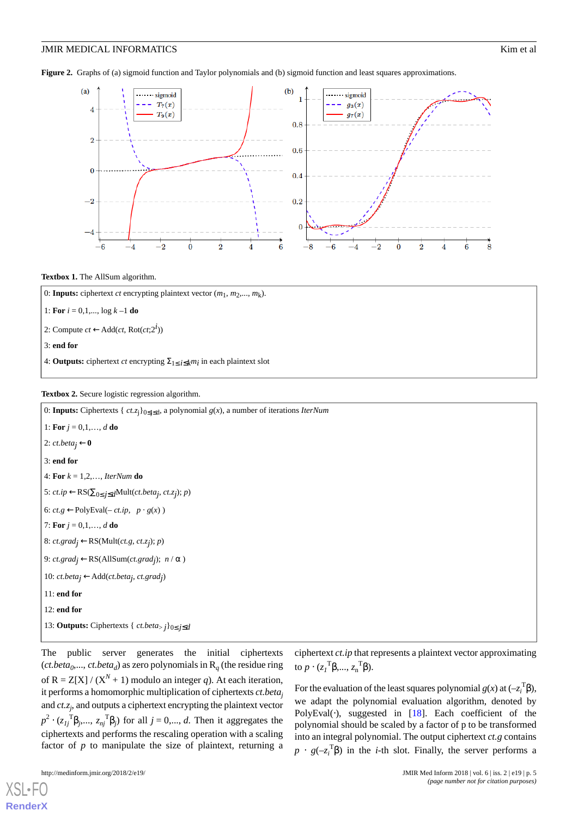<span id="page-4-0"></span>**Figure 2.** Graphs of (a) sigmoid function and Taylor polynomials and (b) sigmoid function and least squares approximations.



#### <span id="page-4-1"></span>**Textbox 1.** The AllSum algorithm.

| 0: <b>Inputs:</b> ciphertext <i>ct</i> encrypting plaintext vector $(m_1, m_2, , m_k)$ .               |
|--------------------------------------------------------------------------------------------------------|
| 1: For $i = 0,1,, \log k - 1$ do                                                                       |
| 2: Compute $ct \leftarrow Add(ct, Rot(ct;2^i))$                                                        |
| $\vert$ 3: end for                                                                                     |
| 4: <b>Outputs:</b> ciphertext <i>ct</i> encrypting $\Sigma_{1 \le i \le k} m_i$ in each plaintext slot |

#### <span id="page-4-2"></span>**Textbox 2.** Secure logistic regression algorithm.

0: **Inputs:** Ciphertexts { *ct.z*j}0≤j≤<sup>d</sup> , a polynomial *g*(*x*), a number of iterations *IterNum* 1: **For**  $j = 0, 1, ..., d$  **do** 2:  $ct. beta_j \leftarrow 0$ 3: **end for** 4: **For** *k* = 1,2,…, *IterNum* **do** 5: *ct.ip* ←RS(∑0<sup>≤</sup> *j*≤*d*Mult(*ct.betaj* , *ct.zj* ); *p*) 6:  $ct.g$  ←PolyEval(−  $ct.ip$ ,  $p \cdot g(x)$ ) 7: **For**  $j = 0, 1, ..., d$  **do** 8: *ct.gradj* ←RS(Mult(*ct.g*, *ct.zj* ); *p*) 9: *ct.gradj* ←RS(AllSum(*ct.gradj* ); *n* / α ) 10: *ct.betaj* ←Add(*ct.betaj* , *ct.gradj* ) 11: **end for** 12: **end for** 13: **Outputs:** Ciphertexts { *ct.beta*> *j*}0<sup>≤</sup> *j*≤*d*

The public server generates the initial ciphertexts (*ct.beta*<sub>0</sub>,..., *ct.beta*<sub>*d*</sub>) as zero polynomials in  $R_q$  (the residue ring of  $R = Z[X]/(X^N + 1)$  modulo an integer *q*). At each iteration, it performs a homomorphic multiplication of ciphertexts *ct.beta<sup>j</sup>* and *ct.z<sup>j</sup>* , and outputs a ciphertext encrypting the plaintext vector  $p^2 \cdot (z_{1j}^{\text{T}} \beta_{j},..., z_{nj}^{\text{T}} \beta_{j})$  for all  $j = 0,..., d$ . Then it aggregates the ciphertexts and performs the rescaling operation with a scaling factor of  $p$  to manipulate the size of plaintext, returning a ciphertext *ct.ip* that represents a plaintext vector approximating to  $p \cdot (z_1^{\mathrm{T}} \beta, ..., z_n^{\mathrm{T}} \beta)$ .

For the evaluation of the least squares polynomial  $g(x)$  at  $(-z_i^T\beta)$ , we adapt the polynomial evaluation algorithm, denoted by PolyEval $(·)$ , suggested in [\[18](#page-10-9)]. Each coefficient of the polynomial should be scaled by a factor of p to be transformed into an integral polynomial. The output ciphertext *ct.g* contains  $p \cdot g(-z_i^T \beta)$  in the *i*-th slot. Finally, the server performs a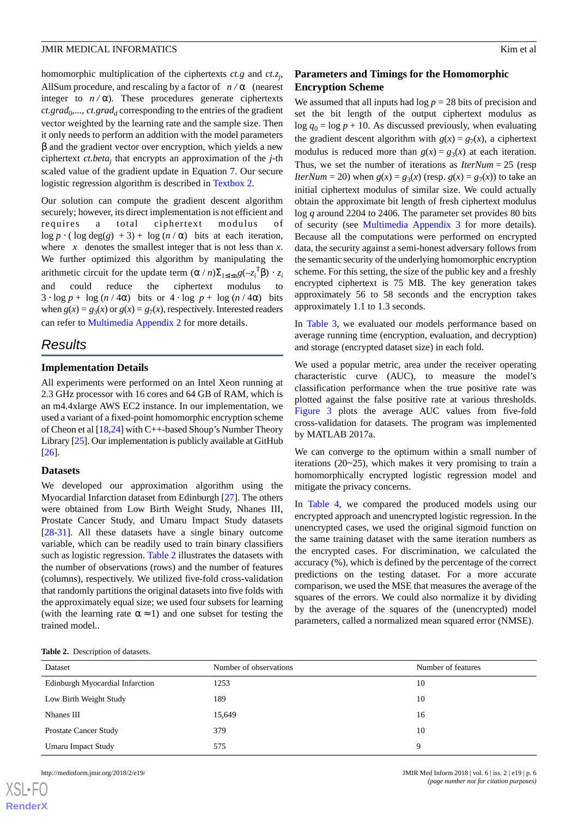homomorphic multiplication of the ciphertexts *ct.g* and *ct.z<sup>j</sup>* , All Sum procedure, and rescaling by a factor of  $n/\alpha$  (nearest integer to  $n/\alpha$ ). These procedures generate ciphertexts  $ct.\text{grad}_0, \ldots, \text{ct}.\text{grad}_d$  corresponding to the entries of the gradient vector weighted by the learning rate and the sample size. Then it only needs to perform an addition with the model parameters β and the gradient vector over encryption, which yields a new ciphertext *ct.beta<sup>j</sup>* that encrypts an approximation of the *j*-th scaled value of the gradient update in Equation 7. Our secure logistic regression algorithm is described in [Textbox 2.](#page-4-2)

Our solution can compute the gradient descent algorithm securely; however, its direct implementation is not efficient and requires a total ciphertext modulus of log  $p \cdot (\log \deg(g) + 3) + \log (n/\alpha)$  bits at each iteration, where  $x$  denotes the smallest integer that is not less than  $x$ . We further optimized this algorithm by manipulating the arithmetic circuit for the update term  $(\alpha/n)\Sigma_{1\leq i\leq n}g(-z_i^T\beta)\cdot z_i$ and could reduce the ciphertext modulus to  $3 \cdot \log p + \log (n / 4\alpha)$  bits or  $4 \cdot \log p + \log (n / 4\alpha)$  bits when  $g(x) = g_3(x)$  or  $g(x) = g_7(x)$ , respectively. Interested readers can refer to [Multimedia Appendix 2](#page-9-7) for more details.

# *Results*

#### **Implementation Details**

All experiments were performed on an Intel Xeon running at 2.3 GHz processor with 16 cores and 64 GB of RAM, which is an m4.4xlarge AWS EC2 instance. In our implementation, we used a variant of a fixed-point homomorphic encryption scheme of Cheon et al [\[18](#page-10-9)[,24](#page-10-14)] with C++-based Shoup's Number Theory Library [[25\]](#page-10-15). Our implementation is publicly available at GitHub [[26\]](#page-10-16).

#### **Datasets**

We developed our approximation algorithm using the Myocardial Infarction dataset from Edinburgh [\[27](#page-10-17)]. The others were obtained from Low Birth Weight Study, Nhanes III, Prostate Cancer Study, and Umaru Impact Study datasets [[28](#page-10-18)[-31](#page-10-19)]. All these datasets have a single binary outcome variable, which can be readily used to train binary classifiers such as logistic regression. [Table 2](#page-5-0) illustrates the datasets with the number of observations (rows) and the number of features (columns), respectively. We utilized five-fold cross-validation that randomly partitions the original datasets into five folds with the approximately equal size; we used four subsets for learning (with the learning rate  $\alpha \approx 1$ ) and one subset for testing the trained model..

# **Parameters and Timings for the Homomorphic Encryption Scheme**

We assumed that all inputs had  $log p = 28$  bits of precision and set the bit length of the output ciphertext modulus as  $\log q_0 = \log p + 10$ . As discussed previously, when evaluating the gradient descent algorithm with  $g(x) = g_7(x)$ , a ciphertext modulus is reduced more than  $g(x) = g_3(x)$  at each iteration. Thus, we set the number of iterations as *IterNum* = 25 (resp *IterNum* = 20) when *g*(*x*) = *g*<sub>3</sub>(*x*) (resp. *g*(*x*) = *g*<sub>7</sub>(*x*)) to take an initial ciphertext modulus of similar size. We could actually obtain the approximate bit length of fresh ciphertext modulus log *q* around 2204 to 2406. The parameter set provides 80 bits of security (see [Multimedia Appendix 3](#page-9-8) for more details). Because all the computations were performed on encrypted data, the security against a semi-honest adversary follows from the semantic security of the underlying homomorphic encryption scheme. For this setting, the size of the public key and a freshly encrypted ciphertext is 75 MB. The key generation takes approximately 56 to 58 seconds and the encryption takes approximately 1.1 to 1.3 seconds.

In [Table 3](#page-6-0), we evaluated our models performance based on average running time (encryption, evaluation, and decryption) and storage (encrypted dataset size) in each fold.

We used a popular metric, area under the receiver operating characteristic curve (AUC), to measure the model's classification performance when the true positive rate was plotted against the false positive rate at various thresholds. [Figure 3](#page-7-0) plots the average AUC values from five-fold cross-validation for datasets. The program was implemented by MATLAB 2017a.

We can converge to the optimum within a small number of iterations (20~25), which makes it very promising to train a homomorphically encrypted logistic regression model and mitigate the privacy concerns.

In [Table 4](#page-8-0), we compared the produced models using our encrypted approach and unencrypted logistic regression. In the unencrypted cases, we used the original sigmoid function on the same training dataset with the same iteration numbers as the encrypted cases. For discrimination, we calculated the accuracy (%), which is defined by the percentage of the correct predictions on the testing dataset. For a more accurate comparison, we used the MSE that measures the average of the squares of the errors. We could also normalize it by dividing by the average of the squares of the (unencrypted) model parameters, called a normalized mean squared error (NMSE).

<span id="page-5-0"></span>

|  | <b>Table 2.</b> Description of datasets. |  |
|--|------------------------------------------|--|
|--|------------------------------------------|--|

| Dataset                         | Number of observations | Number of features |  |
|---------------------------------|------------------------|--------------------|--|
| Edinburgh Myocardial Infarction | 1253                   | 10                 |  |
| Low Birth Weight Study          | 189                    | 10                 |  |
| Nhanes III                      | 15,649                 | 16                 |  |
| Prostate Cancer Study           | 379                    | 10                 |  |
| Umaru Impact Study              | 575                    | 9                  |  |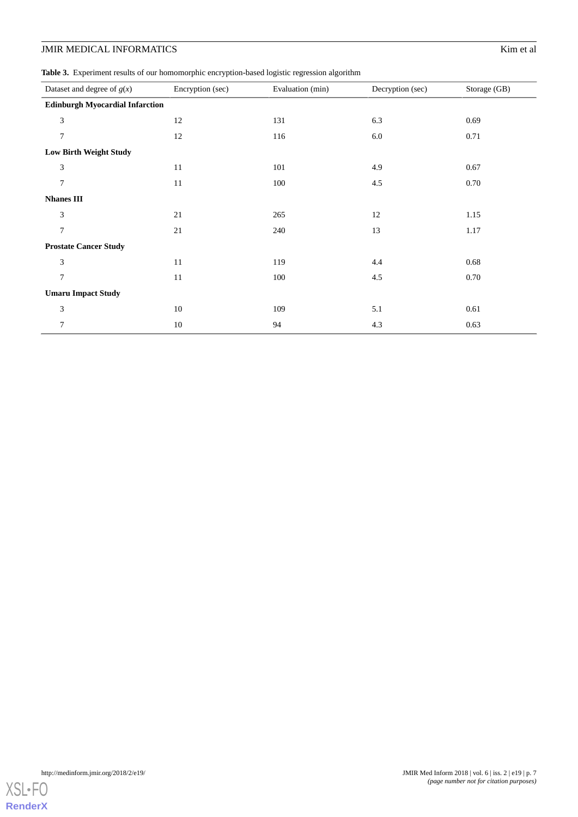<span id="page-6-0"></span>**Table 3.** Experiment results of our homomorphic encryption-based logistic regression algorithm

| Dataset and degree of $g(x)$           | Encryption (sec) | Evaluation (min) | Decryption (sec) | Storage (GB) |
|----------------------------------------|------------------|------------------|------------------|--------------|
| <b>Edinburgh Myocardial Infarction</b> |                  |                  |                  |              |
| 3                                      | 12               | 131              | 6.3              | 0.69         |
| $7\phantom{.0}$                        | 12               | 116              | 6.0              | 0.71         |
| Low Birth Weight Study                 |                  |                  |                  |              |
| 3                                      | 11               | 101              | 4.9              | 0.67         |
| $7\phantom{.0}$                        | 11               | 100              | $4.5\,$          | 0.70         |
| <b>Nhanes III</b>                      |                  |                  |                  |              |
| 3                                      | 21               | 265              | 12               | 1.15         |
| $\overline{7}$                         | 21               | 240              | 13               | 1.17         |
| <b>Prostate Cancer Study</b>           |                  |                  |                  |              |
| 3                                      | 11               | 119              | 4.4              | 0.68         |
| $\overline{7}$                         | 11               | 100              | 4.5              | 0.70         |
| <b>Umaru Impact Study</b>              |                  |                  |                  |              |
| 3                                      | 10               | 109              | 5.1              | 0.61         |
| 7                                      | 10               | 94               | 4.3              | 0.63         |

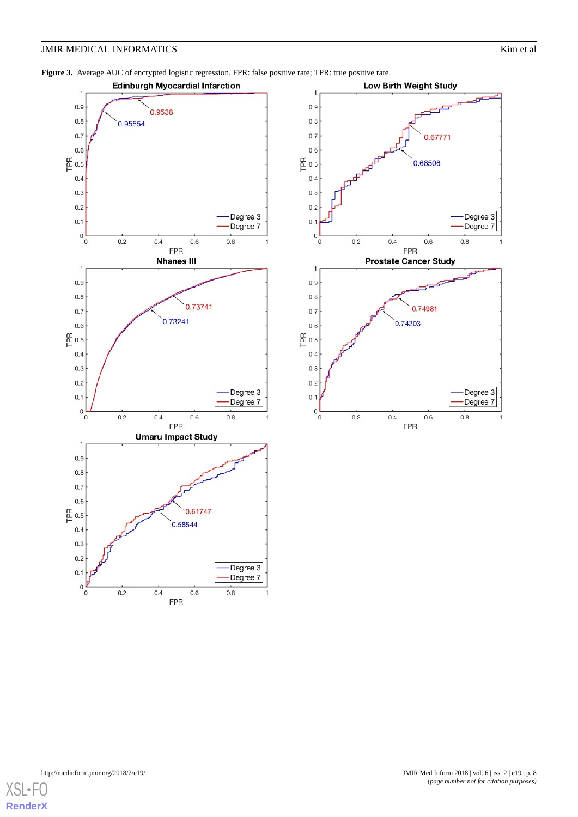<span id="page-7-0"></span>**Figure 3.** Average AUC of encrypted logistic regression. FPR: false positive rate; TPR: true positive rate.





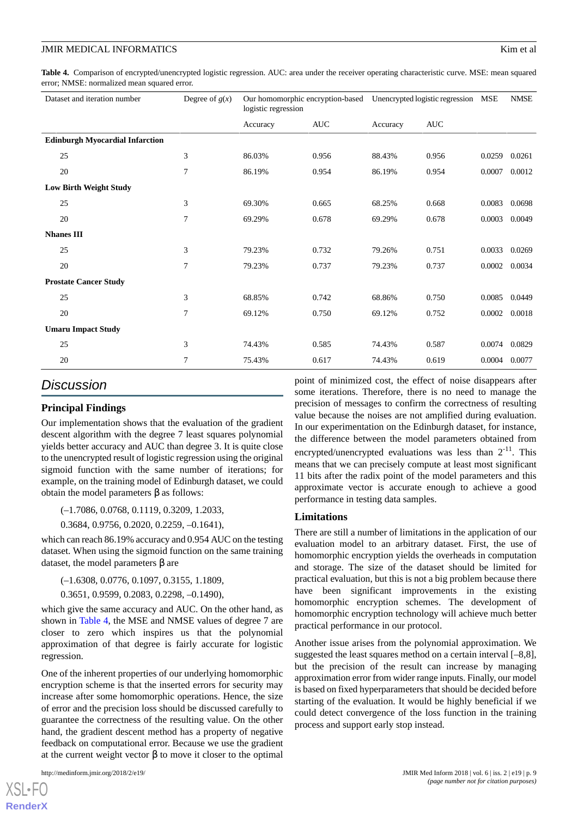<span id="page-8-0"></span>**Table 4.** Comparison of encrypted/unencrypted logistic regression. AUC: area under the receiver operating characteristic curve. MSE: mean squared error; NMSE: normalized mean squared error.

| Dataset and iteration number           | Degree of $g(x)$ | Our homomorphic encryption-based<br>logistic regression |            | Unencrypted logistic regression |            | <b>MSE</b> | <b>NMSE</b> |
|----------------------------------------|------------------|---------------------------------------------------------|------------|---------------------------------|------------|------------|-------------|
|                                        |                  | Accuracy                                                | <b>AUC</b> | Accuracy                        | <b>AUC</b> |            |             |
| <b>Edinburgh Myocardial Infarction</b> |                  |                                                         |            |                                 |            |            |             |
| 25                                     | 3                | 86.03%                                                  | 0.956      | 88.43%                          | 0.956      | 0.0259     | 0.0261      |
| 20                                     | 7                | 86.19%                                                  | 0.954      | 86.19%                          | 0.954      | 0.0007     | 0.0012      |
| <b>Low Birth Weight Study</b>          |                  |                                                         |            |                                 |            |            |             |
| 25                                     | 3                | 69.30%                                                  | 0.665      | 68.25%                          | 0.668      | 0.0083     | 0.0698      |
| 20                                     | $\overline{7}$   | 69.29%                                                  | 0.678      | 69.29%                          | 0.678      | 0.0003     | 0.0049      |
| <b>Nhanes III</b>                      |                  |                                                         |            |                                 |            |            |             |
| 25                                     | 3                | 79.23%                                                  | 0.732      | 79.26%                          | 0.751      | 0.0033     | 0.0269      |
| 20                                     | 7                | 79.23%                                                  | 0.737      | 79.23%                          | 0.737      | 0.0002     | 0.0034      |
| <b>Prostate Cancer Study</b>           |                  |                                                         |            |                                 |            |            |             |
| 25                                     | 3                | 68.85%                                                  | 0.742      | 68.86%                          | 0.750      | 0.0085     | 0.0449      |
| 20                                     | $\overline{7}$   | 69.12%                                                  | 0.750      | 69.12%                          | 0.752      | 0.0002     | 0.0018      |
| <b>Umaru Impact Study</b>              |                  |                                                         |            |                                 |            |            |             |
| 25                                     | 3                | 74.43%                                                  | 0.585      | 74.43%                          | 0.587      | 0.0074     | 0.0829      |
| 20                                     | 7                | 75.43%                                                  | 0.617      | 74.43%                          | 0.619      | 0.0004     | 0.0077      |

# *Discussion*

# **Principal Findings**

Our implementation shows that the evaluation of the gradient descent algorithm with the degree 7 least squares polynomial yields better accuracy and AUC than degree 3. It is quite close to the unencrypted result of logistic regression using the original sigmoid function with the same number of iterations; for example, on the training model of Edinburgh dataset, we could obtain the model parameters β as follows:

(–1.7086, 0.0768, 0.1119, 0.3209, 1.2033,

0.3684, 0.9756, 0.2020, 0.2259, –0.1641),

which can reach 86.19% accuracy and 0.954 AUC on the testing dataset. When using the sigmoid function on the same training dataset, the model parameters β are

(–1.6308, 0.0776, 0.1097, 0.3155, 1.1809,

0.3651, 0.9599, 0.2083, 0.2298, –0.1490),

which give the same accuracy and AUC. On the other hand, as shown in [Table 4,](#page-8-0) the MSE and NMSE values of degree 7 are closer to zero which inspires us that the polynomial approximation of that degree is fairly accurate for logistic regression.

One of the inherent properties of our underlying homomorphic encryption scheme is that the inserted errors for security may increase after some homomorphic operations. Hence, the size of error and the precision loss should be discussed carefully to guarantee the correctness of the resulting value. On the other hand, the gradient descent method has a property of negative feedback on computational error. Because we use the gradient at the current weight vector β to move it closer to the optimal

[XSL](http://www.w3.org/Style/XSL)•FO **[RenderX](http://www.renderx.com/)** point of minimized cost, the effect of noise disappears after some iterations. Therefore, there is no need to manage the precision of messages to confirm the correctness of resulting value because the noises are not amplified during evaluation. In our experimentation on the Edinburgh dataset, for instance, the difference between the model parameters obtained from encrypted/unencrypted evaluations was less than  $2^{-11}$ . This means that we can precisely compute at least most significant 11 bits after the radix point of the model parameters and this approximate vector is accurate enough to achieve a good performance in testing data samples.

#### **Limitations**

There are still a number of limitations in the application of our evaluation model to an arbitrary dataset. First, the use of homomorphic encryption yields the overheads in computation and storage. The size of the dataset should be limited for practical evaluation, but this is not a big problem because there have been significant improvements in the existing homomorphic encryption schemes. The development of homomorphic encryption technology will achieve much better practical performance in our protocol.

Another issue arises from the polynomial approximation. We suggested the least squares method on a certain interval [–8,8], but the precision of the result can increase by managing approximation error from wider range inputs. Finally, our model is based on fixed hyperparameters that should be decided before starting of the evaluation. It would be highly beneficial if we could detect convergence of the loss function in the training process and support early stop instead.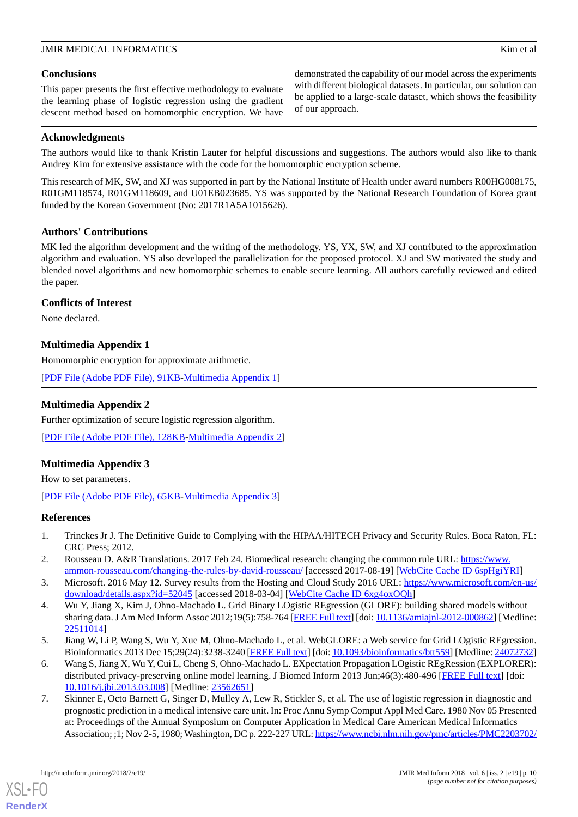## **Conclusions**

This paper presents the first effective methodology to evaluate the learning phase of logistic regression using the gradient descent method based on homomorphic encryption. We have

demonstrated the capability of our model across the experiments with different biological datasets. In particular, our solution can be applied to a large-scale dataset, which shows the feasibility of our approach.

#### **Acknowledgments**

The authors would like to thank Kristin Lauter for helpful discussions and suggestions. The authors would also like to thank Andrey Kim for extensive assistance with the code for the homomorphic encryption scheme.

This research of MK, SW, and XJ was supported in part by the National Institute of Health under award numbers R00HG008175, R01GM118574, R01GM118609, and U01EB023685. YS was supported by the National Research Foundation of Korea grant funded by the Korean Government (No: 2017R1A5A1015626).

# **Authors' Contributions**

MK led the algorithm development and the writing of the methodology. YS, YX, SW, and XJ contributed to the approximation algorithm and evaluation. YS also developed the parallelization for the proposed protocol. XJ and SW motivated the study and blended novel algorithms and new homomorphic schemes to enable secure learning. All authors carefully reviewed and edited the paper.

# <span id="page-9-6"></span>**Conflicts of Interest**

None declared.

# **Multimedia Appendix 1**

<span id="page-9-7"></span>Homomorphic encryption for approximate arithmetic.

[[PDF File \(Adobe PDF File\), 91KB-Multimedia Appendix 1](https://jmir.org/api/download?alt_name=medinform_v6i2e19_app1.pdf&filename=92fb6671d8d7d756050be0f1124ea1d2.pdf)]

# **Multimedia Appendix 2**

<span id="page-9-8"></span>Further optimization of secure logistic regression algorithm.

[[PDF File \(Adobe PDF File\), 128KB-Multimedia Appendix 2](https://jmir.org/api/download?alt_name=medinform_v6i2e19_app2.pdf&filename=e1181d1f4913383898b21458be907f8f.pdf)]

# **Multimedia Appendix 3**

<span id="page-9-0"></span>How to set parameters.

<span id="page-9-1"></span>[[PDF File \(Adobe PDF File\), 65KB-Multimedia Appendix 3](https://jmir.org/api/download?alt_name=medinform_v6i2e19_app3.pdf&filename=c34a07aa84bf656ab441ae9077c4d062.pdf)]

#### <span id="page-9-2"></span>**References**

- <span id="page-9-3"></span>1. Trinckes Jr J. The Definitive Guide to Complying with the HIPAA/HITECH Privacy and Security Rules. Boca Raton, FL: CRC Press; 2012.
- 2. Rousseau D. A&R Translations. 2017 Feb 24. Biomedical research: changing the common rule URL: [https://www.](https://www.ammon-rousseau.com/changing-the-rules-by-david-rousseau/) [ammon-rousseau.com/changing-the-rules-by-david-rousseau/](https://www.ammon-rousseau.com/changing-the-rules-by-david-rousseau/) [accessed 2017-08-19] [\[WebCite Cache ID 6spHgiYRI](http://www.webcitation.org/

                                6spHgiYRI)]
- 3. Microsoft. 2016 May 12. Survey results from the Hosting and Cloud Study 2016 URL: [https://www.microsoft.com/en-us/](https://www.microsoft.com/en-us/download/details.aspx?id=52045) [download/details.aspx?id=52045](https://www.microsoft.com/en-us/download/details.aspx?id=52045) [accessed 2018-03-04] [\[WebCite Cache ID 6xg4oxOQh\]](http://www.webcitation.org/

                                6xg4oxOQh)
- <span id="page-9-4"></span>4. Wu Y, Jiang X, Kim J, Ohno-Machado L. Grid Binary LOgistic REgression (GLORE): building shared models without sharing data. J Am Med Inform Assoc 2012;19(5):758-764 [\[FREE Full text](http://europepmc.org/abstract/MED/22511014)] [doi: [10.1136/amiajnl-2012-000862](http://dx.doi.org/10.1136/amiajnl-2012-000862)] [Medline: [22511014](http://www.ncbi.nlm.nih.gov/entrez/query.fcgi?cmd=Retrieve&db=PubMed&list_uids=22511014&dopt=Abstract)]
- <span id="page-9-5"></span>5. Jiang W, Li P, Wang S, Wu Y, Xue M, Ohno-Machado L, et al. WebGLORE: a Web service for Grid LOgistic REgression. Bioinformatics 2013 Dec 15;29(24):3238-3240 [[FREE Full text\]](http://europepmc.org/abstract/MED/24072732) [doi: [10.1093/bioinformatics/btt559\]](http://dx.doi.org/10.1093/bioinformatics/btt559) [Medline: [24072732\]](http://www.ncbi.nlm.nih.gov/entrez/query.fcgi?cmd=Retrieve&db=PubMed&list_uids=24072732&dopt=Abstract)
- 6. Wang S, Jiang X, Wu Y, Cui L, Cheng S, Ohno-Machado L. EXpectation Propagation LOgistic REgRession (EXPLORER): distributed privacy-preserving online model learning. J Biomed Inform 2013 Jun;46(3):480-496 [\[FREE Full text\]](http://linkinghub.elsevier.com/retrieve/pii/S1532-0464(13)00042-7) [doi: [10.1016/j.jbi.2013.03.008](http://dx.doi.org/10.1016/j.jbi.2013.03.008)] [Medline: [23562651\]](http://www.ncbi.nlm.nih.gov/entrez/query.fcgi?cmd=Retrieve&db=PubMed&list_uids=23562651&dopt=Abstract)
- 7. Skinner E, Octo Barnett G, Singer D, Mulley A, Lew R, Stickler S, et al. The use of logistic regression in diagnostic and prognostic prediction in a medical intensive care unit. In: Proc Annu Symp Comput Appl Med Care. 1980 Nov 05 Presented at: Proceedings of the Annual Symposium on Computer Application in Medical Care American Medical Informatics Association; ;1; Nov 2-5, 1980; Washington, DC p. 222-227 URL:<https://www.ncbi.nlm.nih.gov/pmc/articles/PMC2203702/>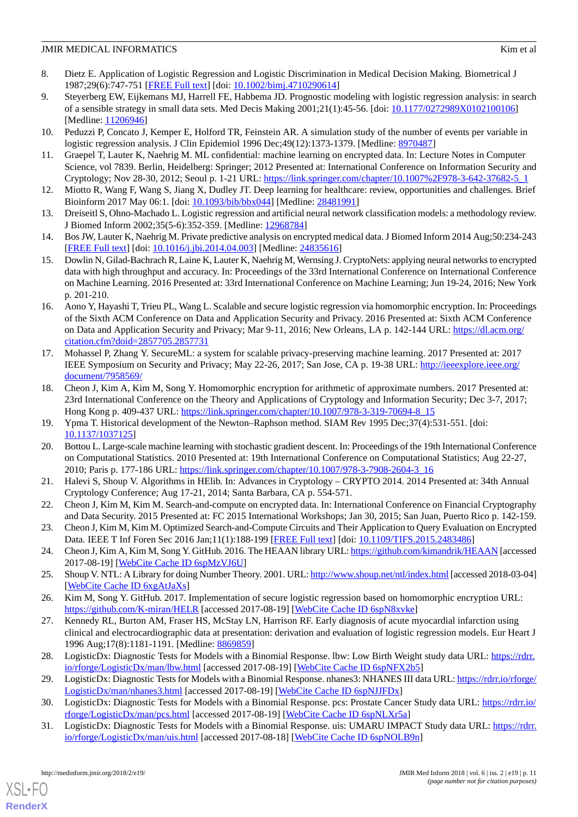- 8. Dietz E. Application of Logistic Regression and Logistic Discrimination in Medical Decision Making. Biometrical J 1987;29(6):747-751 [[FREE Full text](http://onlinelibrary.wiley.com/doi/10.1002/bimj.4710290614/abstract)] [doi: [10.1002/bimj.4710290614\]](http://dx.doi.org/10.1002/bimj.4710290614)
- <span id="page-10-0"></span>9. Steyerberg EW, Eijkemans MJ, Harrell FE, Habbema JD. Prognostic modeling with logistic regression analysis: in search of a sensible strategy in small data sets. Med Decis Making 2001;21(1):45-56. [doi: [10.1177/0272989X0102100106\]](http://dx.doi.org/10.1177/0272989X0102100106) [Medline: [11206946](http://www.ncbi.nlm.nih.gov/entrez/query.fcgi?cmd=Retrieve&db=PubMed&list_uids=11206946&dopt=Abstract)]
- <span id="page-10-2"></span><span id="page-10-1"></span>10. Peduzzi P, Concato J, Kemper E, Holford TR, Feinstein AR. A simulation study of the number of events per variable in logistic regression analysis. J Clin Epidemiol 1996 Dec;49(12):1373-1379. [Medline: [8970487\]](http://www.ncbi.nlm.nih.gov/entrez/query.fcgi?cmd=Retrieve&db=PubMed&list_uids=8970487&dopt=Abstract)
- <span id="page-10-3"></span>11. Graepel T, Lauter K, Naehrig M. ML confidential: machine learning on encrypted data. In: Lecture Notes in Computer Science, vol 7839. Berlin, Heidelberg: Springer; 2012 Presented at: International Conference on Information Security and Cryptology; Nov 28-30, 2012; Seoul p. 1-21 URL: [https://link.springer.com/chapter/10.1007%2F978-3-642-37682-5\\_1](https://link.springer.com/chapter/10.1007%2F978-3-642-37682-5_1)
- <span id="page-10-4"></span>12. Miotto R, Wang F, Wang S, Jiang X, Dudley JT. Deep learning for healthcare: review, opportunities and challenges. Brief Bioinform 2017 May 06:1. [doi: [10.1093/bib/bbx044](http://dx.doi.org/10.1093/bib/bbx044)] [Medline: [28481991\]](http://www.ncbi.nlm.nih.gov/entrez/query.fcgi?cmd=Retrieve&db=PubMed&list_uids=28481991&dopt=Abstract)
- <span id="page-10-5"></span>13. Dreiseitl S, Ohno-Machado L. Logistic regression and artificial neural network classification models: a methodology review. J Biomed Inform 2002;35(5-6):352-359. [Medline: [12968784](http://www.ncbi.nlm.nih.gov/entrez/query.fcgi?cmd=Retrieve&db=PubMed&list_uids=12968784&dopt=Abstract)]
- <span id="page-10-6"></span>14. Bos JW, Lauter K, Naehrig M. Private predictive analysis on encrypted medical data. J Biomed Inform 2014 Aug;50:234-243 [[FREE Full text](http://linkinghub.elsevier.com/retrieve/pii/S1532-0464(14)00088-4)] [doi: [10.1016/j.jbi.2014.04.003](http://dx.doi.org/10.1016/j.jbi.2014.04.003)] [Medline: [24835616\]](http://www.ncbi.nlm.nih.gov/entrez/query.fcgi?cmd=Retrieve&db=PubMed&list_uids=24835616&dopt=Abstract)
- <span id="page-10-7"></span>15. Dowlin N, Gilad-Bachrach R, Laine K, Lauter K, Naehrig M, Wernsing J. CryptoNets: applying neural networks to encrypted data with high throughput and accuracy. In: Proceedings of the 33rd International Conference on International Conference on Machine Learning. 2016 Presented at: 33rd International Conference on Machine Learning; Jun 19-24, 2016; New York p. 201-210.
- <span id="page-10-8"></span>16. Aono Y, Hayashi T, Trieu PL, Wang L. Scalable and secure logistic regression via homomorphic encryption. In: Proceedings of the Sixth ACM Conference on Data and Application Security and Privacy. 2016 Presented at: Sixth ACM Conference on Data and Application Security and Privacy; Mar 9-11, 2016; New Orleans, LA p. 142-144 URL: [https://dl.acm.org/](https://dl.acm.org/citation.cfm?doid=2857705.2857731) [citation.cfm?doid=2857705.2857731](https://dl.acm.org/citation.cfm?doid=2857705.2857731)
- <span id="page-10-9"></span>17. Mohassel P, Zhang Y. SecureML: a system for scalable privacy-preserving machine learning. 2017 Presented at: 2017 IEEE Symposium on Security and Privacy; May 22-26, 2017; San Jose, CA p. 19-38 URL: [http://ieeexplore.ieee.org/](http://ieeexplore.ieee.org/document/7958569/) [document/7958569/](http://ieeexplore.ieee.org/document/7958569/)
- <span id="page-10-11"></span><span id="page-10-10"></span>18. Cheon J, Kim A, Kim M, Song Y. Homomorphic encryption for arithmetic of approximate numbers. 2017 Presented at: 23rd International Conference on the Theory and Applications of Cryptology and Information Security; Dec 3-7, 2017; Hong Kong p. 409-437 URL: [https://link.springer.com/chapter/10.1007/978-3-319-70694-8\\_15](https://link.springer.com/chapter/10.1007/978-3-319-70694-8_15)
- <span id="page-10-12"></span>19. Ypma T. Historical development of the Newton–Raphson method. SIAM Rev 1995 Dec;37(4):531-551. [doi: [10.1137/1037125\]](http://dx.doi.org/10.1137/1037125)
- 20. Bottou L. Large-scale machine learning with stochastic gradient descent. In: Proceedings of the 19th International Conference on Computational Statistics. 2010 Presented at: 19th International Conference on Computational Statistics; Aug 22-27, 2010; Paris p. 177-186 URL: [https://link.springer.com/chapter/10.1007/978-3-7908-2604-3\\_16](https://link.springer.com/chapter/10.1007/978-3-7908-2604-3_16)
- <span id="page-10-13"></span>21. Halevi S, Shoup V. Algorithms in HElib. In: Advances in Cryptology – CRYPTO 2014. 2014 Presented at: 34th Annual Cryptology Conference; Aug 17-21, 2014; Santa Barbara, CA p. 554-571.
- <span id="page-10-14"></span>22. Cheon J, Kim M, Kim M. Search-and-compute on encrypted data. In: International Conference on Financial Cryptography and Data Security. 2015 Presented at: FC 2015 International Workshops; Jan 30, 2015; San Juan, Puerto Rico p. 142-159.
- <span id="page-10-16"></span><span id="page-10-15"></span>23. Cheon J, Kim M, Kim M. Optimized Search-and-Compute Circuits and Their Application to Query Evaluation on Encrypted Data. IEEE T Inf Foren Sec 2016 Jan; 11(1):188-199 [\[FREE Full text\]](http://ieeexplore.ieee.org/document/7279139/) [doi: [10.1109/TIFS.2015.2483486\]](http://dx.doi.org/10.1109/TIFS.2015.2483486)
- <span id="page-10-17"></span>24. Cheon J, Kim A, Kim M, Song Y. GitHub. 2016. The HEAAN library URL:<https://github.com/kimandrik/HEAAN> [accessed 2017-08-19] [\[WebCite Cache ID 6spMzVJ6U\]](http://www.webcitation.org/

                                6spMzVJ6U)
- 25. Shoup V. NTL: A Library for doing Number Theory. 2001. URL:<http://www.shoup.net/ntl/index.html> [accessed 2018-03-04] [[WebCite Cache ID 6xgAtJaXs](http://www.webcitation.org/

                                6xgAtJaXs)]
- <span id="page-10-18"></span>26. Kim M, Song Y. GitHub. 2017. Implementation of secure logistic regression based on homomorphic encryption URL: <https://github.com/K-miran/HELR> [accessed 2017-08-19] [[WebCite Cache ID 6spN8xvke](http://www.webcitation.org/

                                6spN8xvke)]
- 27. Kennedy RL, Burton AM, Fraser HS, McStay LN, Harrison RF. Early diagnosis of acute myocardial infarction using clinical and electrocardiographic data at presentation: derivation and evaluation of logistic regression models. Eur Heart J 1996 Aug;17(8):1181-1191. [Medline: [8869859\]](http://www.ncbi.nlm.nih.gov/entrez/query.fcgi?cmd=Retrieve&db=PubMed&list_uids=8869859&dopt=Abstract)
- <span id="page-10-19"></span>28. LogisticDx: Diagnostic Tests for Models with a Binomial Response. lbw: Low Birth Weight study data URL: [https://rdrr.](https://rdrr.io/rforge/LogisticDx/man/lbw.html) [io/rforge/LogisticDx/man/lbw.html](https://rdrr.io/rforge/LogisticDx/man/lbw.html) [accessed 2017-08-19] [\[WebCite Cache ID 6spNFX2b5\]](http://www.webcitation.org/

                                6spNFX2b5)
- 29. LogisticDx: Diagnostic Tests for Models with a Binomial Response. nhanes3: NHANES III data URL: [https://rdrr.io/rforge/](https://rdrr.io/rforge/LogisticDx/man/nhanes3.html) [LogisticDx/man/nhanes3.html](https://rdrr.io/rforge/LogisticDx/man/nhanes3.html) [accessed 2017-08-19] [\[WebCite Cache ID 6spNJJFDx\]](http://www.webcitation.org/

                                6spNJJFDx)
- 30. LogisticDx: Diagnostic Tests for Models with a Binomial Response. pcs: Prostate Cancer Study data URL: [https://rdrr.io/](https://rdrr.io/rforge/LogisticDx/man/pcs.html) [rforge/LogisticDx/man/pcs.html](https://rdrr.io/rforge/LogisticDx/man/pcs.html) [accessed 2017-08-19] [[WebCite Cache ID 6spNLXr5a\]](http://www.webcitation.org/

                                6spNLXr5a)
- 31. LogisticDx: Diagnostic Tests for Models with a Binomial Response. uis: UMARU IMPACT Study data URL: [https://rdrr.](https://rdrr.io/rforge/LogisticDx/man/uis.html) [io/rforge/LogisticDx/man/uis.html](https://rdrr.io/rforge/LogisticDx/man/uis.html) [accessed 2017-08-18] [[WebCite Cache ID 6spNOLB9n](http://www.webcitation.org/

                                6spNOLB9n)]